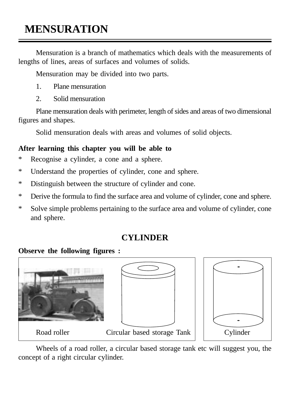# **MENSURATION**

Mensuration is a branch of mathematics which deals with the measurements of lengths of lines, areas of surfaces and volumes of solids.

Mensuration may be divided into two parts.

- 1. Plane mensuration
- 2. Solid mensuration

Plane mensuration deals with perimeter, length of sides and areas of two dimensional figures and shapes.

Solid mensuration deals with areas and volumes of solid objects.

### **After learning this chapter you will be able to**

- \* Recognise a cylinder, a cone and a sphere.
- \* Understand the properties of cylinder, cone and sphere.
- \* Distinguish between the structure of cylinder and cone.
- \* Derive the formula to find the surface area and volume of cylinder, cone and sphere.
- \* Solve simple problems pertaining to the surface area and volume of cylinder, cone and sphere.

## **CYLINDER**

### **Observe the following figures :**







Wheels of a road roller, a circular based storage tank etc will suggest you, the concept of a right circular cylinder.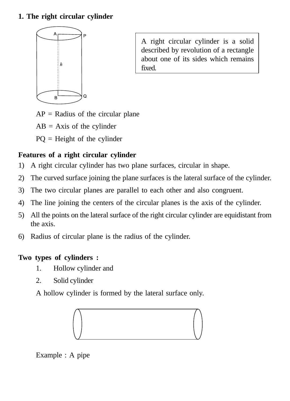#### **1. The right circular cylinder**



A right circular cylinder is a solid described by revolution of a rectangle about one of its sides which remains fixed.

- $AP =$  Radius of the circular plane
- $AB = Axis$  of the cylinder
- PQ = Height of the cylinder

### **Features of a right circular cylinder**

- 1) A right circular cylinder has two plane surfaces, circular in shape.
- 2) The curved surface joining the plane surfaces is the lateral surface of the cylinder.
- 3) The two circular planes are parallel to each other and also congruent.
- 4) The line joining the centers of the circular planes is the axis of the cylinder.
- 5) All the points on the lateral surface of the right circular cylinder are equidistant from the axis.
- 6) Radius of circular plane is the radius of the cylinder.

### **Two types of cylinders :**

- 1. Hollow cylinder and
- 2. Solid cylinder

A hollow cylinder is formed by the lateral surface only.



Example : A pipe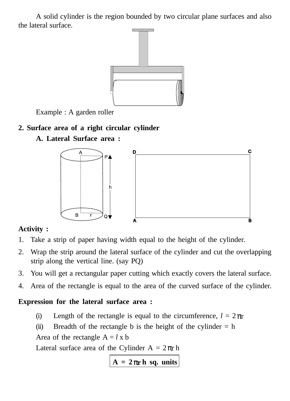A solid cylinder is the region bounded by two circular plane surfaces and also the lateral surface.



Example : A garden roller

### **2. Surface area of a right circular cylinder**



### **A. Lateral Surface area :**

#### **Activity :**

- 1. Take a strip of paper having width equal to the height of the cylinder.
- 2. Wrap the strip around the lateral surface of the cylinder and cut the overlapping strip along the vertical line. (say PQ)
- 3. You will get a rectangular paper cutting which exactly covers the lateral surface.
- 4. Area of the rectangle is equal to the area of the curved surface of the cylinder.

#### **Expression for the lateral surface area :**

- (i) Length of the rectangle is equal to the circumference,  $l = 2 \pi r$
- (ii) Breadth of the rectangle b is the height of the cylinder  $= h$

Area of the rectangle  $A = l x b$ 

Lateral surface area of the Cylinder  $A = 2\pi r h$ 

 $A = 2\pi r h$  **sq. units**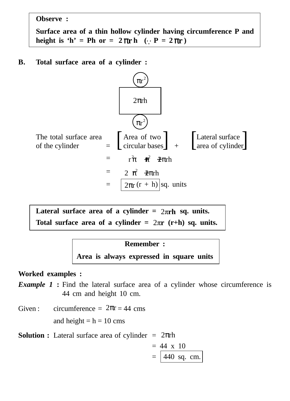**Observe :**

**Surface area of a thin hollow cylinder having circumference P and height is 'h' = Ph or =**  $2 \pi r h$  **(∴**  $P = 2 \pi r$ **)** 

**B. Total surface area of a cylinder :**



Lateral surface area of a cylinder =  $2\pi$ rh sq. units. Total surface area of a cylinder  $= 2\pi r$  (r+h) sq. units.

#### **Remember :**

**Area is always expressed in square units**

#### **Worked examples :**

**Example 1 :** Find the lateral surface area of a cylinder whose circumference is 44 cm and height 10 cm.

Given : circumference =  $2\pi r = 44$  cms

and height =  $h = 10$  cms

**Solution :** Lateral surface area of cylinder  $= 2\pi$ ch

$$
= 44 \times 10
$$

$$
= 440 \text{ sq. cm.}
$$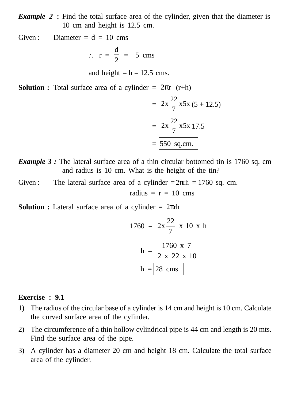*Example 2* **:** Find the total surface area of the cylinder, given that the diameter is 10 cm and height is 12.5 cm.

Given : Diameter =  $d = 10$  cms

$$
\therefore r = \frac{d}{2} = 5 \text{ cms}
$$

and height  $= h = 12.5$  cms.

**Solution :** Total surface area of a cylinder =  $2\pi r$  (r+h)

$$
= 2x \frac{22}{7} x5x (5 + 12.5)
$$

$$
= 2x \frac{22}{7} x5x 17.5
$$

$$
= 550 \text{ sq.cm.}
$$

- *Example 3* : The lateral surface area of a thin circular bottomed tin is 1760 sq. cm and radius is 10 cm. What is the height of the tin?
- Given : The lateral surface area of a cylinder  $=2\pi$ ch  $= 1760$  sq. cm.

radius  $= r = 10$  cms

**Solution :** Lateral surface area of a cylinder = 2πrh

$$
1760 = 2x \frac{22}{7} \times 10 \times h
$$

$$
h = \frac{1760 \times 7}{2 \times 22 \times 10}
$$

$$
h = 28 \text{ cms}
$$

#### **Exercise : 9.1**

- 1) The radius of the circular base of a cylinder is 14 cm and height is 10 cm. Calculate the curved surface area of the cylinder.
- 2) The circumference of a thin hollow cylindrical pipe is 44 cm and length is 20 mts. Find the surface area of the pipe.
- 3) A cylinder has a diameter 20 cm and height 18 cm. Calculate the total surface area of the cylinder.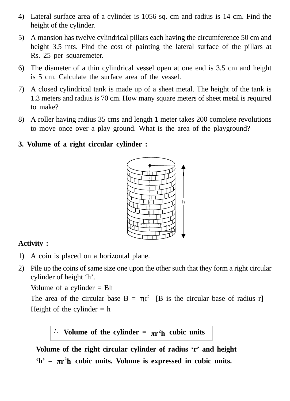- 4) Lateral surface area of a cylinder is 1056 sq. cm and radius is 14 cm. Find the height of the cylinder.
- 5) A mansion has twelve cylindrical pillars each having the circumference 50 cm and height 3.5 mts. Find the cost of painting the lateral surface of the pillars at Rs. 25 per squaremeter.
- 6) The diameter of a thin cylindrical vessel open at one end is 3.5 cm and height is 5 cm. Calculate the surface area of the vessel.
- 7) A closed cylindrical tank is made up of a sheet metal. The height of the tank is 1.3 meters and radius is 70 cm. How many square meters of sheet metal is required to make?
- 8) A roller having radius 35 cms and length 1 meter takes 200 complete revolutions to move once over a play ground. What is the area of the playground?

#### **3. Volume of a right circular cylinder :**



#### **Activity :**

- 1) A coin is placed on a horizontal plane.
- 2) Pile up the coins of same size one upon the other such that they form a right circular cylinder of height 'h'.

Volume of a cylinder  $=$  Bh

The area of the circular base  $B = \pi r^2$  [B is the circular base of radius r] Height of the cylinder  $= h$ 

### $\therefore$  Volume of the cylinder =  $\pi r^2 h$  cubic units

**Volume of the right circular cylinder of radius 'r' and height** 'h' =  $\pi r^2 h$  cubic units. Volume is expressed in cubic units.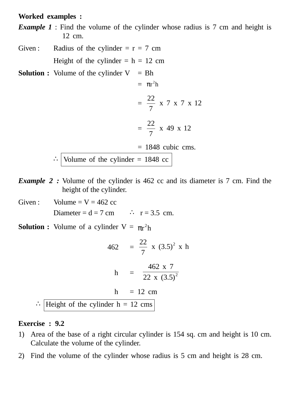#### **Worked examples :**

*Example 1* : Find the volume of the cylinder whose radius is 7 cm and height is 12 cm.

- Given : Radius of the cylinder =  $r = 7$  cm Height of the cylinder  $= h = 12$  cm
- **Solution :** Volume of the cylinder  $V = Bh$

$$
= \pi r^2 h
$$
  

$$
= \frac{22}{7} \times 7 \times 7 \times 12
$$
  

$$
= \frac{22}{7} \times 49 \times 12
$$
  

$$
= 1848 \text{ cubic cms.}
$$
  

$$
\therefore \boxed{\text{Volume of the cylinder} = 1848 \text{ cc}}
$$

- *Example 2 :* Volume of the cylinder is 462 cc and its diameter is 7 cm. Find the height of the cylinder.
- Given : Volume =  $V = 462$  cc Diameter =  $d = 7$  cm  $\therefore$  r = 3.5 cm.
- **Solution :** Volume of a cylinder  $V = \pi r^2 h$

$$
462 = \frac{22}{7} \times (3.5)^2 \times h
$$
  
 
$$
h = \frac{462 \times 7}{22 \times (3.5)^2}
$$
  
 
$$
h = 12 \text{ cm}
$$
  
 
$$
\therefore \text{Height of the cylinder } h = 12 \text{ cms}
$$

#### **Exercise : 9.2**

- 1) Area of the base of a right circular cylinder is 154 sq. cm and height is 10 cm. Calculate the volume of the cylinder.
- 2) Find the volume of the cylinder whose radius is 5 cm and height is 28 cm.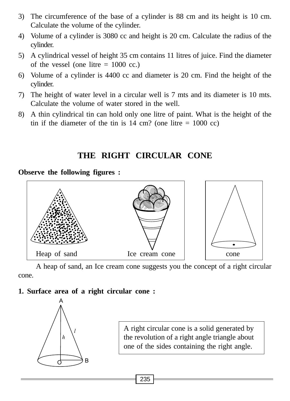- 3) The circumference of the base of a cylinder is 88 cm and its height is 10 cm. Calculate the volume of the cylinder.
- 4) Volume of a cylinder is 3080 cc and height is 20 cm. Calculate the radius of the cylinder.
- 5) A cylindrical vessel of height 35 cm contains 11 litres of juice. Find the diameter of the vessel (one litre  $= 1000$  cc.)
- 6) Volume of a cylinder is 4400 cc and diameter is 20 cm. Find the height of the cylinder.
- 7) The height of water level in a circular well is 7 mts and its diameter is 10 mts. Calculate the volume of water stored in the well.
- 8) A thin cylindrical tin can hold only one litre of paint. What is the height of the tin if the diameter of the tin is  $14 \text{ cm}$ ? (one litre = 1000 cc)

### **THE RIGHT CIRCULAR CONE**

**Observe the following figures :**



A heap of sand, an Ice cream cone suggests you the concept of a right circular cone.

#### **1. Surface area of a right circular cone :**



A right circular cone is a solid generated by the revolution of a right angle triangle about one of the sides containing the right angle.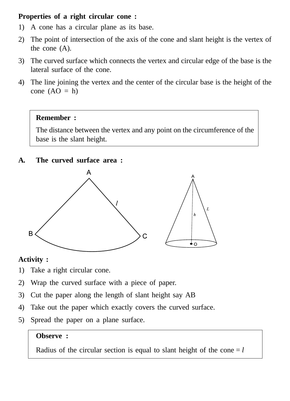#### **Properties of a right circular cone :**

- 1) A cone has a circular plane as its base.
- 2) The point of intersection of the axis of the cone and slant height is the vertex of the cone (A).
- 3) The curved surface which connects the vertex and circular edge of the base is the lateral surface of the cone.
- 4) The line joining the vertex and the center of the circular base is the height of the cone  $(AO = h)$

#### **Remember :**

The distance between the vertex and any point on the circumference of the base is the slant height.

#### **A. The curved surface area :**



#### **Activity :**

- 1) Take a right circular cone.
- 2) Wrap the curved surface with a piece of paper.
- 3) Cut the paper along the length of slant height say AB
- 4) Take out the paper which exactly covers the curved surface.
- 5) Spread the paper on a plane surface.

#### **Observe :**

Radius of the circular section is equal to slant height of the cone  $=$  *l*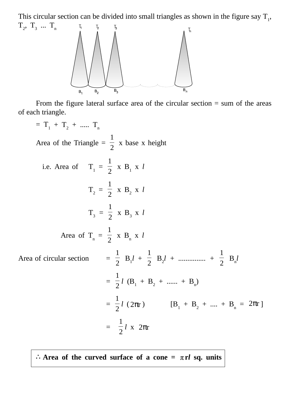This circular section can be divided into small triangles as shown in the figure say  $T_1$ ,  $T_2$ ,  $T_3$  ...  $T_n$ 



From the figure lateral surface area of the circular section  $=$  sum of the areas of each triangle.

 $= T_1 + T_2 + \dots + T_n$ Area of the Triangle =  $\frac{1}{2}$ 1 x base x height i.e. Area of  $T_1 = \frac{1}{2}$ 1  $\mathbf{X} \times \mathbf{B}_1 \times \mathbf{I}$  $T_2 = \frac{1}{2}$ 1  $\mathbf{x} \mathbf{B}_2 \mathbf{x}$  $T_3 = \frac{1}{2}$ 1  $\mathbf{X} \times \mathbf{B}_3 \times \mathbf{I}$ Area of  $T_n = \frac{1}{2}$ 1  $X$   $B_n$   $X$  *l* Area of circular section 1  $B_1 l + \frac{1}{2}$ 1  $B_2 l + \dots + \frac{1}{2}$ 1  $B_n^{\dagger}$  $=$   $\frac{1}{2}$ 1  $l$  (B<sub>1</sub> + B<sub>2</sub> + ...... + B<sub>n</sub>)  $=$   $\frac{1}{2}$ 1 *l* ( $2\pi r$ ) [B<sub>1</sub> + B<sub>2</sub> + .... + B<sub>n</sub> =  $2\pi r$ ]  $=\frac{1}{2}$ 1  $l \times 2\pi r$ 

∴Area of the curved surface of a cone =  $\pi r l$  sq. units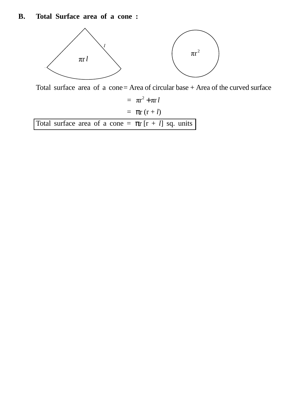#### **B. Total Surface area of a cone :**



Total surface area of a cone= Area of circular base + Area of the curved surface

 $=$   $\pi r^2 + \pi r l$  $=$   $\pi$ r (r + *l*) Total surface area of a cone =  $\pi r$   $[r + l]$  sq. units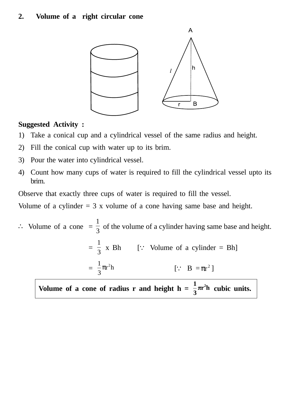#### **2. Volume of a right circular cone**



#### **Suggested Activity :**

- 1) Take a conical cup and a cylindrical vessel of the same radius and height.
- 2) Fill the conical cup with water up to its brim.
- 3) Pour the water into cylindrical vessel.
- 4) Count how many cups of water is required to fill the cylindrical vessel upto its brim.

Observe that exactly three cups of water is required to fill the vessel.

Volume of a cylinder  $= 3$  x volume of a cone having same base and height.

∴ Volume of a cone = 
$$
\frac{1}{3}
$$
 of the volume of a cylinder having same base and height.  
\n=  $\frac{1}{3}$  x Bh [∵ Volume of a cylinder = Bh]  
\n=  $\frac{1}{3}\pi r^2 h$  [∵ B =  $\pi r^2$ ]

Volume of a cone of radius r and height  $h = \frac{1}{3}\pi r^2 h$  $\frac{1}{2}\pi r^2 h$  cubic units.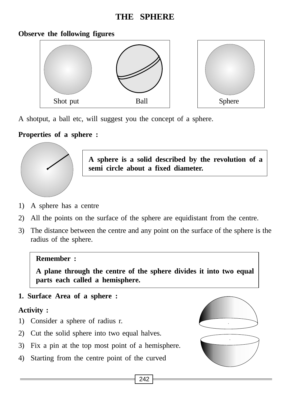### **THE SPHERE**

#### **Observe the following figures**



A shotput, a ball etc, will suggest you the concept of a sphere.

### **Properties of a sphere :**



**A sphere is a solid described by the revolution of a semi circle about a fixed diameter.**

- 1) A sphere has a centre
- 2) All the points on the surface of the sphere are equidistant from the centre.
- 3) The distance between the centre and any point on the surface of the sphere is the radius of the sphere.

#### **Remember :**

**A plane through the centre of the sphere divides it into two equal parts each called a hemisphere.**

**1. Surface Area of a sphere :**

#### **Activity :**

- 1) Consider a sphere of radius r.
- 2) Cut the solid sphere into two equal halves.
- 3) Fix a pin at the top most point of a hemisphere.
- 4) Starting from the centre point of the curved

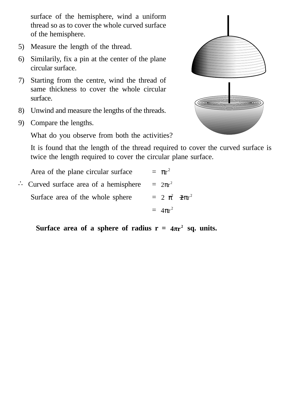surface of the hemisphere, wind a uniform thread so as to cover the whole curved surface of the hemisphere.

- 5) Measure the length of the thread.
- 6) Similarily, fix a pin at the center of the plane circular surface.
- 7) Starting from the centre, wind the thread of same thickness to cover the whole circular surface.
- 8) Unwind and measure the lengths of the threads.
- 9) Compare the lengths.

What do you observe from both the activities?



It is found that the length of the thread required to cover the curved surface is twice the length required to cover the circular plane surface.

Area of the plane circular surface  $= \pi r^2$ ∴ Curved surface area of a hemisphere  $= 2πr^2$ Surface area of the whole sphere  $= 2 \pi^2 \pi r^2$  $= 4\pi r^2$ 

**Surface area of a sphere of radius**  $r = 4\pi r^2$  **sq. units.**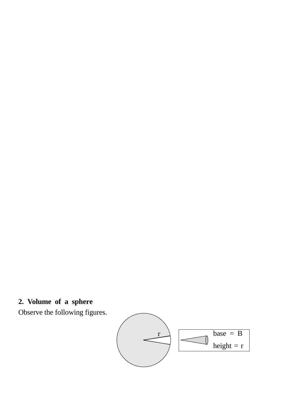# **2. Volume of a sphere**

Observe the following figures.

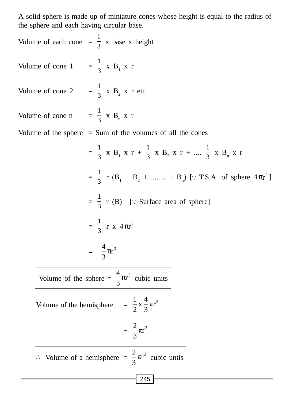A solid sphere is made up of miniature cones whose height is equal to the radius of the sphere and each having circular base.

245 Volume of each cone  $=$   $\frac{1}{3}$  x base x height Volume of cone 1 =  $\frac{1}{3}$  x B<sub>1</sub> x r Volume of cone 2 =  $\frac{1}{3}$  x B<sub>2</sub> x r etc Volume of cone n =  $\frac{1}{3}$  x B<sub>n</sub> x r Volume of the sphere  $=$  Sum of the volumes of all the cones  $=$   $\frac{1}{3}$  x B<sub>1</sub> x r +  $\frac{1}{3}$  x B<sub>2</sub> x r + ....  $\frac{1}{3}$  x B<sub>n</sub> x r  $=$   $\frac{1}{3}$  r (B<sub>1</sub> + B<sub>2</sub> + ........ + B<sub>n</sub>) [∵T.S.A. of sphere 4 $\pi r^2$ ]  $=\frac{1}{3}$  r (B) [∵Surface area of sphere]  $=$   $\frac{1}{3}$  r x  $4\pi r^2$  $=$   $\frac{4}{3}\pi r^3$ 3  $\frac{4}{\pi}$ Volume of the sphere =  $\frac{4}{3}\pi r^3$ 3  $\frac{4}{5}\pi r^3$  cubic units Volume of the hemisphere  $= \frac{1}{2} \times \frac{4}{3} \pi r^3$  $\frac{4}{x}$ 2 1  $=$   $\frac{2}{3}\pi r^3$ 3 2 ∴ Volume of a hemisphere  $=$   $\frac{2}{3}\pi r^3$ 2 cubic untis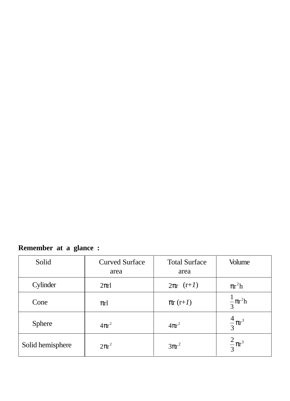# **Remember at a glance :**

| Solid            | <b>Curved Surface</b><br>area | <b>Total Surface</b><br>area | Volume                  |
|------------------|-------------------------------|------------------------------|-------------------------|
| Cylinder         | $2\pi r l$                    | $2\pi r$ $(r+1)$             | $\pi r^2 h$             |
| Cone             | $\pi r$                       | $\pi r(r+1)$                 | $\frac{1}{3} \pi r^2 h$ |
| Sphere           | $4\pi r^2$                    | $4\pi r^2$                   | $\frac{4}{3}\pi r^3$    |
| Solid hemisphere | $2\pi r^2$                    | $3\pi r^2$                   | $\frac{2}{3}\pi r^3$    |